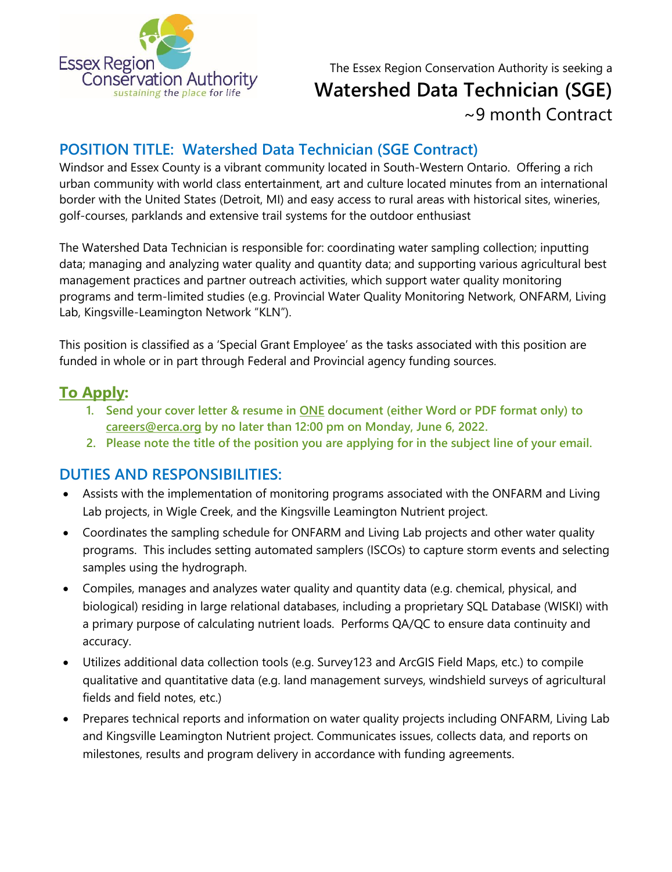

The Essex Region Conservation Authority is seeking a **Watershed Data Technician (SGE)** ~9 month Contract

# **POSITION TITLE: Watershed Data Technician (SGE Contract)**

Windsor and Essex County is a vibrant community located in South-Western Ontario. Offering a rich urban community with world class entertainment, art and culture located minutes from an international border with the United States (Detroit, MI) and easy access to rural areas with historical sites, wineries, golf-courses, parklands and extensive trail systems for the outdoor enthusiast

The Watershed Data Technician is responsible for: coordinating water sampling collection; inputting data; managing and analyzing water quality and quantity data; and supporting various agricultural best management practices and partner outreach activities, which support water quality monitoring programs and term-limited studies (e.g. Provincial Water Quality Monitoring Network, ONFARM, Living Lab, Kingsville-Leamington Network "KLN").

This position is classified as a 'Special Grant Employee' as the tasks associated with this position are funded in whole or in part through Federal and Provincial agency funding sources.

## **To Apply:**

- **1. Send your cover letter & resume in ONE document (either Word or PDF format only) to [careers@erca.org](mailto:careers@erca.org) by no later than 12:00 pm on Monday, June 6, 2022.**
- **2. Please note the title of the position you are applying for in the subject line of your email.**

### **DUTIES AND RESPONSIBILITIES:**

- Assists with the implementation of monitoring programs associated with the ONFARM and Living Lab projects, in Wigle Creek, and the Kingsville Leamington Nutrient project.
- Coordinates the sampling schedule for ONFARM and Living Lab projects and other water quality programs. This includes setting automated samplers (ISCOs) to capture storm events and selecting samples using the hydrograph.
- Compiles, manages and analyzes water quality and quantity data (e.g. chemical, physical, and biological) residing in large relational databases, including a proprietary SQL Database (WISKI) with a primary purpose of calculating nutrient loads. Performs QA/QC to ensure data continuity and accuracy.
- Utilizes additional data collection tools (e.g. Survey123 and ArcGIS Field Maps, etc.) to compile qualitative and quantitative data (e.g. land management surveys, windshield surveys of agricultural fields and field notes, etc.)
- Prepares technical reports and information on water quality projects including ONFARM, Living Lab and Kingsville Leamington Nutrient project. Communicates issues, collects data, and reports on milestones, results and program delivery in accordance with funding agreements.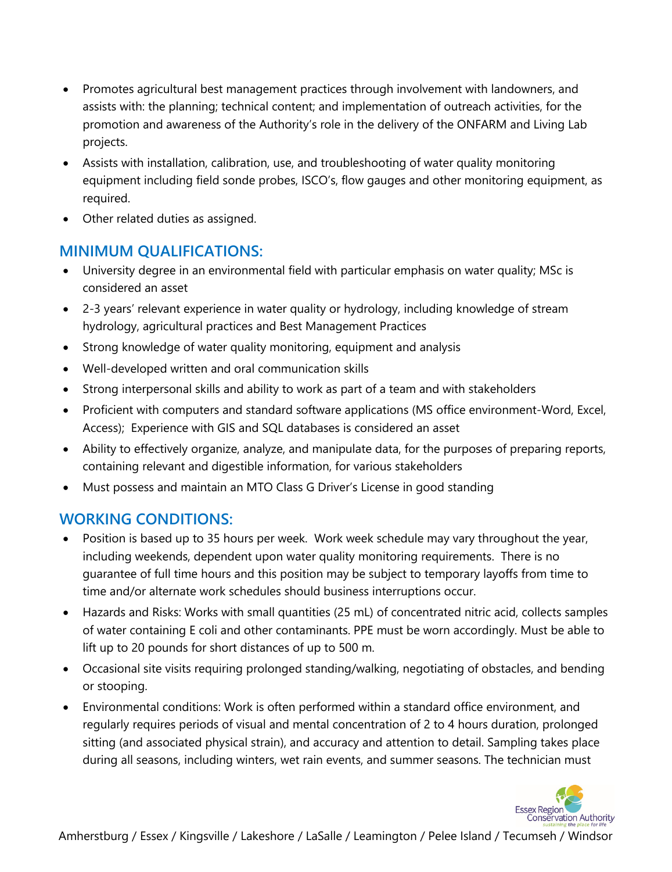- Promotes agricultural best management practices through involvement with landowners, and assists with: the planning; technical content; and implementation of outreach activities, for the promotion and awareness of the Authority's role in the delivery of the ONFARM and Living Lab projects.
- Assists with installation, calibration, use, and troubleshooting of water quality monitoring equipment including field sonde probes, ISCO's, flow gauges and other monitoring equipment, as required.
- Other related duties as assigned.

### **MINIMUM QUALIFICATIONS:**

- University degree in an environmental field with particular emphasis on water quality; MSc is considered an asset
- 2-3 years' relevant experience in water quality or hydrology, including knowledge of stream hydrology, agricultural practices and Best Management Practices
- Strong knowledge of water quality monitoring, equipment and analysis
- Well-developed written and oral communication skills
- Strong interpersonal skills and ability to work as part of a team and with stakeholders
- Proficient with computers and standard software applications (MS office environment-Word, Excel, Access); Experience with GIS and SQL databases is considered an asset
- Ability to effectively organize, analyze, and manipulate data, for the purposes of preparing reports, containing relevant and digestible information, for various stakeholders
- Must possess and maintain an MTO Class G Driver's License in good standing

## **WORKING CONDITIONS:**

- Position is based up to 35 hours per week. Work week schedule may vary throughout the year, including weekends, dependent upon water quality monitoring requirements. There is no guarantee of full time hours and this position may be subject to temporary layoffs from time to time and/or alternate work schedules should business interruptions occur.
- Hazards and Risks: Works with small quantities (25 mL) of concentrated nitric acid, collects samples of water containing E coli and other contaminants. PPE must be worn accordingly. Must be able to lift up to 20 pounds for short distances of up to 500 m.
- Occasional site visits requiring prolonged standing/walking, negotiating of obstacles, and bending or stooping.
- Environmental conditions: Work is often performed within a standard office environment, and regularly requires periods of visual and mental concentration of 2 to 4 hours duration, prolonged sitting (and associated physical strain), and accuracy and attention to detail. Sampling takes place during all seasons, including winters, wet rain events, and summer seasons. The technician must